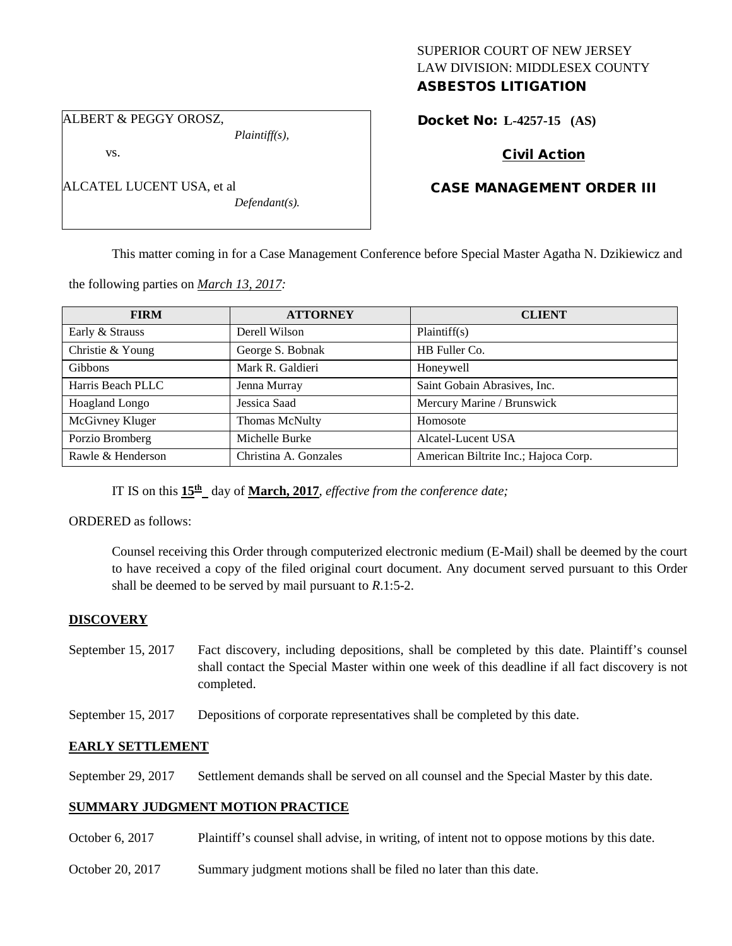# SUPERIOR COURT OF NEW JERSEY LAW DIVISION: MIDDLESEX COUNTY ASBESTOS LITIGATION

Docket No: **L-4257-15 (AS)** 

ALBERT & PEGGY OROSZ,

ALCATEL LUCENT USA, et al

vs.

*Plaintiff(s),*

*Defendant(s).*

# Civil Action

# CASE MANAGEMENT ORDER III

This matter coming in for a Case Management Conference before Special Master Agatha N. Dzikiewicz and

the following parties on *March 13, 2017:*

| <b>FIRM</b>       | <b>ATTORNEY</b>       | <b>CLIENT</b>                        |
|-------------------|-----------------------|--------------------------------------|
| Early & Strauss   | Derell Wilson         | Plaintiff(s)                         |
| Christie & Young  | George S. Bobnak      | HB Fuller Co.                        |
| <b>Gibbons</b>    | Mark R. Galdieri      | Honeywell                            |
| Harris Beach PLLC | Jenna Murray          | Saint Gobain Abrasives, Inc.         |
| Hoagland Longo    | Jessica Saad          | Mercury Marine / Brunswick           |
| McGivney Kluger   | Thomas McNulty        | Homosote                             |
| Porzio Bromberg   | Michelle Burke        | Alcatel-Lucent USA                   |
| Rawle & Henderson | Christina A. Gonzales | American Biltrite Inc.; Hajoca Corp. |

IT IS on this  $15<sup>th</sup>$  day of **March, 2017**, *effective from the conference date*;

ORDERED as follows:

Counsel receiving this Order through computerized electronic medium (E-Mail) shall be deemed by the court to have received a copy of the filed original court document. Any document served pursuant to this Order shall be deemed to be served by mail pursuant to *R*.1:5-2.

#### **DISCOVERY**

- September 15, 2017 Fact discovery, including depositions, shall be completed by this date. Plaintiff's counsel shall contact the Special Master within one week of this deadline if all fact discovery is not completed.
- September 15, 2017 Depositions of corporate representatives shall be completed by this date.

# **EARLY SETTLEMENT**

September 29, 2017 Settlement demands shall be served on all counsel and the Special Master by this date.

#### **SUMMARY JUDGMENT MOTION PRACTICE**

- October 6, 2017 Plaintiff's counsel shall advise, in writing, of intent not to oppose motions by this date.
- October 20, 2017 Summary judgment motions shall be filed no later than this date.